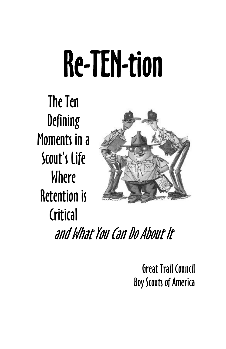# Re-TEN-tion

The Ten **Defining** Moments in a Scout's Life Where Retention is Critical and What You Can Do About It

> Great Trail Council Boy Scouts of America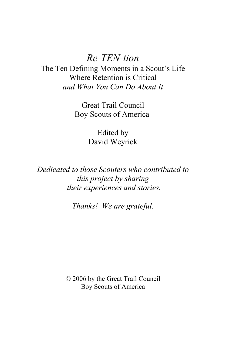### *Re-TEN-tion*

The Ten Defining Moments in a Scout's Life Where Retention is Critical *and What You Can Do About It*

> Great Trail Council Boy Scouts of America

> > Edited by David Weyrick

*Dedicated to those Scouters who contributed to this project by sharing their experiences and stories.*

*Thanks! We are grateful.*

© 2006 by the Great Trail Council Boy Scouts of America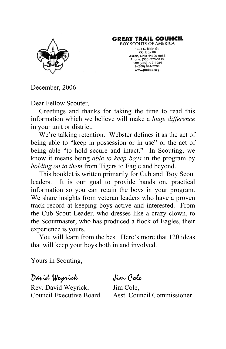#### **GREAT TRAIL COUNCIL**



**BOY SCOUTS OF AMERICA** 1601 S. Main St. P.O. Box 68 Akron, Ohio 44309-0068 Phone: (330) 773-0415 Fax: (330) 773-4084 1-(800) 844-7268 www.gtcbsa.org

December, 2006

Dear Fellow Scouter,

Greetings and thanks for taking the time to read this information which we believe will make a *huge difference* in your unit or district.

We're talking retention. Webster defines it as the act of being able to "keep in possession or in use" or the act of being able "to hold secure and intact." In Scouting, we know it means being *able to keep boys* in the program by *holding on to them* from Tigers to Eagle and beyond.

This booklet is written primarily for Cub and Boy Scout leaders. It is our goal to provide hands on, practical information so you can retain the boys in your program. We share insights from veteran leaders who have a proven track record at keeping boys active and interested. From the Cub Scout Leader, who dresses like a crazy clown, to the Scoutmaster, who has produced a flock of Eagles, their experience is yours.

You will learn from the best. Here's more that 120 ideas that will keep your boys both in and involved.

Yours in Scouting,

Rev. David Weyrick, Jim Cole,

David Weyrick Jim Cole

Council Executive Board Asst. Council Commissioner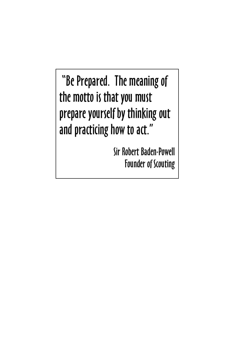"Be Prepared. The meaning of the motto is that you must prepare yourself by thinking out and practicing how to act."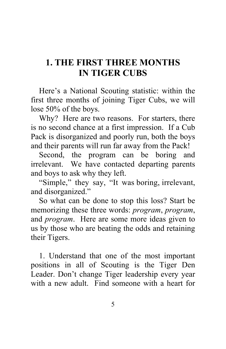### **1. THE FIRST THREE MONTHS IN TIGER CUBS**

Here's a National Scouting statistic: within the first three months of joining Tiger Cubs, we will lose 50% of the boys.

Why? Here are two reasons. For starters, there is no second chance at a first impression. If a Cub Pack is disorganized and poorly run, both the boys and their parents will run far away from the Pack!

Second, the program can be boring and irrelevant. We have contacted departing parents and boys to ask why they left.

"Simple," they say, "It was boring, irrelevant, and disorganized."

So what can be done to stop this loss? Start be memorizing these three words: *program*, *program*, and *program*. Here are some more ideas given to us by those who are beating the odds and retaining their Tigers.

1. Understand that one of the most important positions in all of Scouting is the Tiger Den Leader. Don't change Tiger leadership every year with a new adult. Find someone with a heart for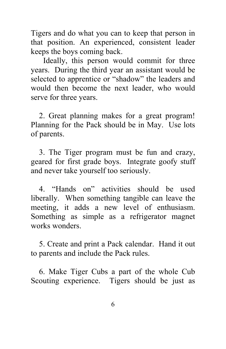Tigers and do what you can to keep that person in that position. An experienced, consistent leader keeps the boys coming back.

 Ideally, this person would commit for three years. During the third year an assistant would be selected to apprentice or "shadow" the leaders and would then become the next leader, who would serve for three years.

2. Great planning makes for a great program! Planning for the Pack should be in May. Use lots of parents.

3. The Tiger program must be fun and crazy, geared for first grade boys. Integrate goofy stuff and never take yourself too seriously.

4. "Hands on" activities should be used liberally. When something tangible can leave the meeting, it adds a new level of enthusiasm. Something as simple as a refrigerator magnet works wonders.

5. Create and print a Pack calendar. Hand it out to parents and include the Pack rules.

6. Make Tiger Cubs a part of the whole Cub Scouting experience. Tigers should be just as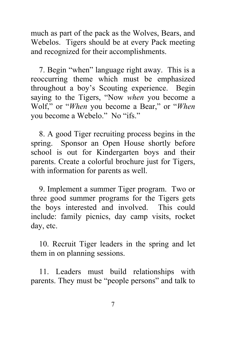much as part of the pack as the Wolves, Bears, and Webelos. Tigers should be at every Pack meeting and recognized for their accomplishments.

7. Begin "when" language right away. This is a reoccurring theme which must be emphasized throughout a boy's Scouting experience. Begin saying to the Tigers, "Now *when* you become a Wolf," or "*When* you become a Bear," or "*When* you become a Webelo." No "ifs."

8. A good Tiger recruiting process begins in the spring. Sponsor an Open House shortly before school is out for Kindergarten boys and their parents. Create a colorful brochure just for Tigers, with information for parents as well.

9. Implement a summer Tiger program. Two or three good summer programs for the Tigers gets the boys interested and involved. This could include: family picnics, day camp visits, rocket day, etc.

10. Recruit Tiger leaders in the spring and let them in on planning sessions.

11. Leaders must build relationships with parents. They must be "people persons" and talk to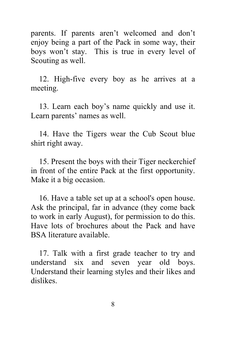parents. If parents aren't welcomed and don't enjoy being a part of the Pack in some way, their boys won't stay. This is true in every level of Scouting as well.

12. High-five every boy as he arrives at a meeting.

13. Learn each boy's name quickly and use it. Learn parents' names as well.

14. Have the Tigers wear the Cub Scout blue shirt right away.

15. Present the boys with their Tiger neckerchief in front of the entire Pack at the first opportunity. Make it a big occasion.

16. Have a table set up at a school's open house. Ask the principal, far in advance (they come back to work in early August), for permission to do this. Have lots of brochures about the Pack and have BSA literature available.

17. Talk with a first grade teacher to try and understand six and seven year old boys. Understand their learning styles and their likes and dislikes.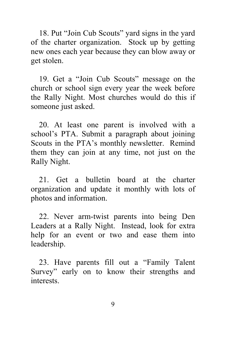18. Put "Join Cub Scouts" yard signs in the yard of the charter organization. Stock up by getting new ones each year because they can blow away or get stolen.

19. Get a "Join Cub Scouts" message on the church or school sign every year the week before the Rally Night. Most churches would do this if someone just asked.

20. At least one parent is involved with a school's PTA. Submit a paragraph about joining Scouts in the PTA's monthly newsletter. Remind them they can join at any time, not just on the Rally Night.

21. Get a bulletin board at the charter organization and update it monthly with lots of photos and information.

22. Never arm-twist parents into being Den Leaders at a Rally Night. Instead, look for extra help for an event or two and ease them into leadership.

23. Have parents fill out a "Family Talent Survey" early on to know their strengths and interests.

9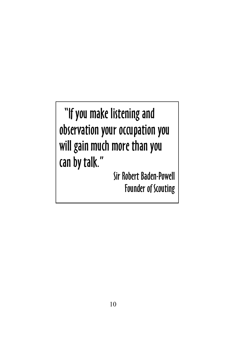"If you make listening and observation your occupation you will gain much more than you can by talk."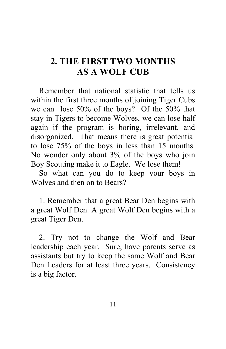### **2. THE FIRST TWO MONTHS AS A WOLF CUB**

Remember that national statistic that tells us within the first three months of joining Tiger Cubs we can lose 50% of the boys? Of the 50% that stay in Tigers to become Wolves, we can lose half again if the program is boring, irrelevant, and disorganized. That means there is great potential to lose 75% of the boys in less than 15 months. No wonder only about 3% of the boys who join Boy Scouting make it to Eagle. We lose them!

So what can you do to keep your boys in Wolves and then on to Bears?

1. Remember that a great Bear Den begins with a great Wolf Den. A great Wolf Den begins with a great Tiger Den.

2. Try not to change the Wolf and Bear leadership each year. Sure, have parents serve as assistants but try to keep the same Wolf and Bear Den Leaders for at least three years. Consistency is a big factor.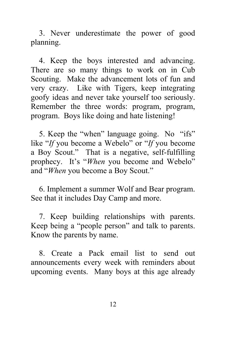3. Never underestimate the power of good planning.

4. Keep the boys interested and advancing. There are so many things to work on in Cub Scouting. Make the advancement lots of fun and very crazy. Like with Tigers, keep integrating goofy ideas and never take yourself too seriously. Remember the three words: program, program, program. Boys like doing and hate listening!

5. Keep the "when" language going. No "ifs" like "*If* you become a Webelo" or "*If* you become a Boy Scout." That is a negative, self-fulfilling prophecy. It's "*When* you become and Webelo" and "*When* you become a Boy Scout."

6. Implement a summer Wolf and Bear program. See that it includes Day Camp and more.

7. Keep building relationships with parents. Keep being a "people person" and talk to parents. Know the parents by name.

8. Create a Pack email list to send out announcements every week with reminders about upcoming events. Many boys at this age already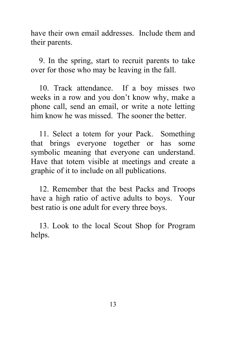have their own email addresses. Include them and their parents.

9. In the spring, start to recruit parents to take over for those who may be leaving in the fall.

10. Track attendance. If a boy misses two weeks in a row and you don't know why, make a phone call, send an email, or write a note letting him know he was missed. The sooner the better.

11. Select a totem for your Pack. Something that brings everyone together or has some symbolic meaning that everyone can understand. Have that totem visible at meetings and create a graphic of it to include on all publications.

12. Remember that the best Packs and Troops have a high ratio of active adults to boys. Your best ratio is one adult for every three boys.

13. Look to the local Scout Shop for Program helps.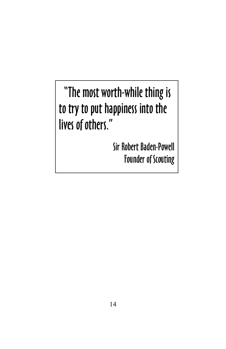"The most worth-while thing is to try to put happiness into the lives of others."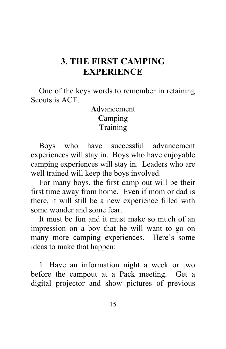### **3. THE FIRST CAMPING EXPERIENCE**

One of the keys words to remember in retaining Scouts is ACT.

#### **A**dvancement **C**amping **T**raining

Boys who have successful advancement experiences will stay in. Boys who have enjoyable camping experiences will stay in. Leaders who are well trained will keep the boys involved.

For many boys, the first camp out will be their first time away from home. Even if mom or dad is there, it will still be a new experience filled with some wonder and some fear.

It must be fun and it must make so much of an impression on a boy that he will want to go on many more camping experiences. Here's some ideas to make that happen:

1. Have an information night a week or two before the campout at a Pack meeting. Get a digital projector and show pictures of previous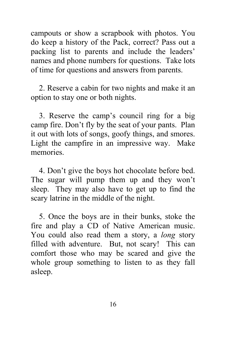campouts or show a scrapbook with photos. You do keep a history of the Pack, correct? Pass out a packing list to parents and include the leaders' names and phone numbers for questions. Take lots of time for questions and answers from parents.

2. Reserve a cabin for two nights and make it an option to stay one or both nights.

3. Reserve the camp's council ring for a big camp fire. Don't fly by the seat of your pants. Plan it out with lots of songs, goofy things, and smores. Light the campfire in an impressive way. Make memories.

4. Don't give the boys hot chocolate before bed. The sugar will pump them up and they won't sleep. They may also have to get up to find the scary latrine in the middle of the night.

5. Once the boys are in their bunks, stoke the fire and play a CD of Native American music. You could also read them a story, a *long* story filled with adventure. But, not scary! This can comfort those who may be scared and give the whole group something to listen to as they fall asleep.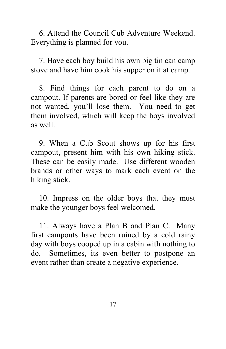6. Attend the Council Cub Adventure Weekend. Everything is planned for you.

7. Have each boy build his own big tin can camp stove and have him cook his supper on it at camp.

8. Find things for each parent to do on a campout. If parents are bored or feel like they are not wanted, you'll lose them. You need to get them involved, which will keep the boys involved as well.

9. When a Cub Scout shows up for his first campout, present him with his own hiking stick. These can be easily made. Use different wooden brands or other ways to mark each event on the hiking stick.

10. Impress on the older boys that they must make the younger boys feel welcomed.

11. Always have a Plan B and Plan C. Many first campouts have been ruined by a cold rainy day with boys cooped up in a cabin with nothing to do. Sometimes, its even better to postpone an event rather than create a negative experience.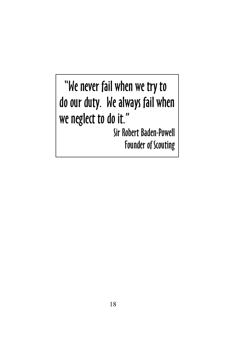"We never fail when we try to do our duty. We always fail when we neglect to do it."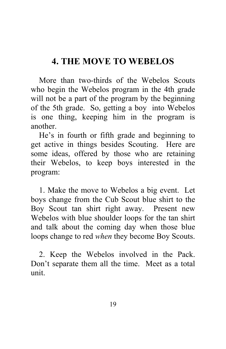### **4. THE MOVE TO WEBELOS**

More than two-thirds of the Webelos Scouts who begin the Webelos program in the 4th grade will not be a part of the program by the beginning of the 5th grade. So, getting a boy into Webelos is one thing, keeping him in the program is another.

He's in fourth or fifth grade and beginning to get active in things besides Scouting. Here are some ideas, offered by those who are retaining their Webelos, to keep boys interested in the program:

1. Make the move to Webelos a big event. Let boys change from the Cub Scout blue shirt to the Boy Scout tan shirt right away. Present new Webelos with blue shoulder loops for the tan shirt and talk about the coming day when those blue loops change to red *when* they become Boy Scouts.

2. Keep the Webelos involved in the Pack. Don't separate them all the time. Meet as a total unit.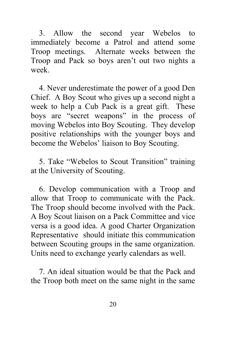3. Allow the second year Webelos to immediately become a Patrol and attend some Troop meetings. Alternate weeks between the Troop and Pack so boys aren't out two nights a week.

4. Never underestimate the power of a good Den Chief. A Boy Scout who gives up a second night a week to help a Cub Pack is a great gift. These boys are "secret weapons" in the process of moving Webelos into Boy Scouting. They develop positive relationships with the younger boys and become the Webelos' liaison to Boy Scouting.

5. Take "Webelos to Scout Transition" training at the University of Scouting.

6. Develop communication with a Troop and allow that Troop to communicate with the Pack. The Troop should become involved with the Pack. A Boy Scout liaison on a Pack Committee and vice versa is a good idea. A good Charter Organization Representative should initiate this communication between Scouting groups in the same organization. Units need to exchange yearly calendars as well.

7. An ideal situation would be that the Pack and the Troop both meet on the same night in the same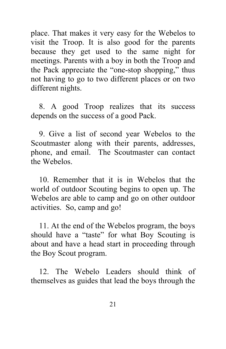place. That makes it very easy for the Webelos to visit the Troop. It is also good for the parents because they get used to the same night for meetings. Parents with a boy in both the Troop and the Pack appreciate the "one-stop shopping," thus not having to go to two different places or on two different nights.

8. A good Troop realizes that its success depends on the success of a good Pack.

9. Give a list of second year Webelos to the Scoutmaster along with their parents, addresses, phone, and email. The Scoutmaster can contact the Webelos.

10. Remember that it is in Webelos that the world of outdoor Scouting begins to open up. The Webelos are able to camp and go on other outdoor activities. So, camp and go!

11. At the end of the Webelos program, the boys should have a "taste" for what Boy Scouting is about and have a head start in proceeding through the Boy Scout program.

12. The Webelo Leaders should think of themselves as guides that lead the boys through the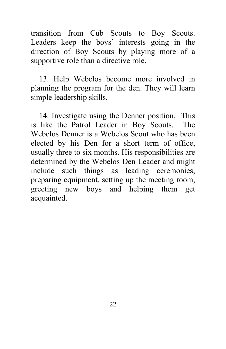transition from Cub Scouts to Boy Scouts. Leaders keep the boys' interests going in the direction of Boy Scouts by playing more of a supportive role than a directive role.

13. Help Webelos become more involved in planning the program for the den. They will learn simple leadership skills.

14. Investigate using the Denner position. This is like the Patrol Leader in Boy Scouts. The Webelos Denner is a Webelos Scout who has been elected by his Den for a short term of office, usually three to six months. His responsibilities are determined by the Webelos Den Leader and might include such things as leading ceremonies, preparing equipment, setting up the meeting room, greeting new boys and helping them get acquainted.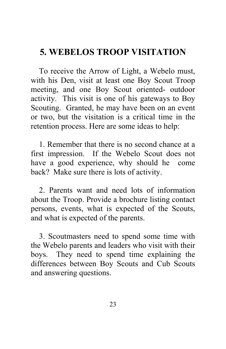### **5. WEBELOS TROOP VISITATION**

To receive the Arrow of Light, a Webelo must, with his Den, visit at least one Boy Scout Troop meeting, and one Boy Scout oriented- outdoor activity. This visit is one of his gateways to Boy Scouting. Granted, he may have been on an event or two, but the visitation is a critical time in the retention process. Here are some ideas to help:

1. Remember that there is no second chance at a first impression. If the Webelo Scout does not have a good experience, why should he come back? Make sure there is lots of activity.

2. Parents want and need lots of information about the Troop. Provide a brochure listing contact persons, events, what is expected of the Scouts, and what is expected of the parents.

3. Scoutmasters need to spend some time with the Webelo parents and leaders who visit with their boys. They need to spend time explaining the differences between Boy Scouts and Cub Scouts and answering questions.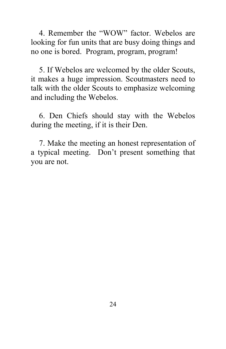4. Remember the "WOW" factor. Webelos are looking for fun units that are busy doing things and no one is bored. Program, program, program!

5. If Webelos are welcomed by the older Scouts, it makes a huge impression. Scoutmasters need to talk with the older Scouts to emphasize welcoming and including the Webelos.

6. Den Chiefs should stay with the Webelos during the meeting, if it is their Den.

7. Make the meeting an honest representation of a typical meeting. Don't present something that you are not.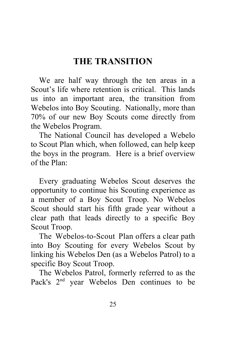### **THE TRANSITION**

We are half way through the ten areas in a Scout's life where retention is critical. This lands us into an important area, the transition from Webelos into Boy Scouting. Nationally, more than 70% of our new Boy Scouts come directly from the Webelos Program.

The National Council has developed a Webelo to Scout Plan which, when followed, can help keep the boys in the program. Here is a brief overview of the Plan:

Every graduating Webelos Scout deserves the opportunity to continue his Scouting experience as a member of a Boy Scout Troop. No Webelos Scout should start his fifth grade year without a clear path that leads directly to a specific Boy Scout Troop.

 The Webelos-to-Scout Plan offers a clear path into Boy Scouting for every Webelos Scout by linking his Webelos Den (as a Webelos Patrol) to a specific Boy Scout Troop.

The Webelos Patrol, formerly referred to as the Pack's 2<sup>nd</sup> year Webelos Den continues to be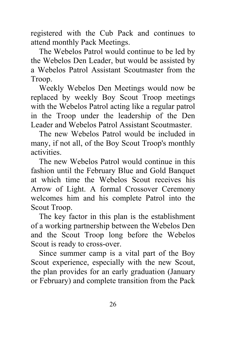registered with the Cub Pack and continues to attend monthly Pack Meetings.

The Webelos Patrol would continue to be led by the Webelos Den Leader, but would be assisted by a Webelos Patrol Assistant Scoutmaster from the Troop.

Weekly Webelos Den Meetings would now be replaced by weekly Boy Scout Troop meetings with the Webelos Patrol acting like a regular patrol in the Troop under the leadership of the Den Leader and Webelos Patrol Assistant Scoutmaster.

The new Webelos Patrol would be included in many, if not all, of the Boy Scout Troop's monthly activities.

The new Webelos Patrol would continue in this fashion until the February Blue and Gold Banquet at which time the Webelos Scout receives his Arrow of Light. A formal Crossover Ceremony welcomes him and his complete Patrol into the Scout Troop.

The key factor in this plan is the establishment of a working partnership between the Webelos Den and the Scout Troop long before the Webelos Scout is ready to cross-over.

Since summer camp is a vital part of the Boy Scout experience, especially with the new Scout, the plan provides for an early graduation (January or February) and complete transition from the Pack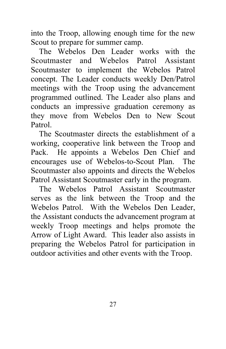into the Troop, allowing enough time for the new Scout to prepare for summer camp.

The Webelos Den Leader works with the Scoutmaster and Webelos Patrol Assistant Scoutmaster to implement the Webelos Patrol concept. The Leader conducts weekly Den/Patrol meetings with the Troop using the advancement programmed outlined. The Leader also plans and conducts an impressive graduation ceremony as they move from Webelos Den to New Scout Patrol.

The Scoutmaster directs the establishment of a working, cooperative link between the Troop and Pack. He appoints a Webelos Den Chief and encourages use of Webelos-to-Scout Plan. The Scoutmaster also appoints and directs the Webelos Patrol Assistant Scoutmaster early in the program.

The Webelos Patrol Assistant Scoutmaster serves as the link between the Troop and the Webelos Patrol. With the Webelos Den Leader, the Assistant conducts the advancement program at weekly Troop meetings and helps promote the Arrow of Light Award. This leader also assists in preparing the Webelos Patrol for participation in outdoor activities and other events with the Troop.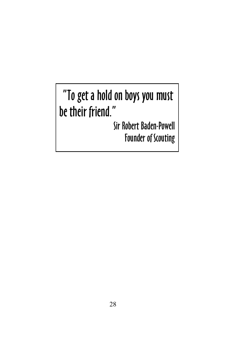### "To get a hold on boys you must be their friend."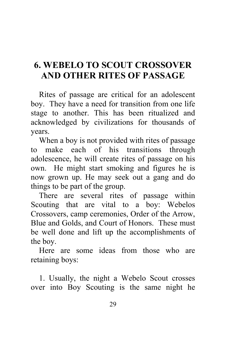### **6. WEBELO TO SCOUT CROSSOVER AND OTHER RITES OF PASSAGE**

Rites of passage are critical for an adolescent boy. They have a need for transition from one life stage to another. This has been ritualized and acknowledged by civilizations for thousands of years.

When a boy is not provided with rites of passage to make each of his transitions through adolescence, he will create rites of passage on his own. He might start smoking and figures he is now grown up. He may seek out a gang and do things to be part of the group.

There are several rites of passage within Scouting that are vital to a boy: Webelos Crossovers, camp ceremonies, Order of the Arrow, Blue and Golds, and Court of Honors. These must be well done and lift up the accomplishments of the boy.

Here are some ideas from those who are retaining boys:

1. Usually, the night a Webelo Scout crosses over into Boy Scouting is the same night he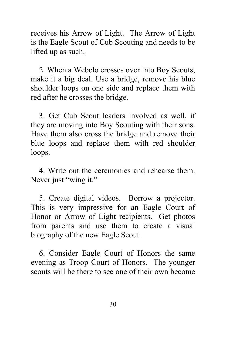receives his Arrow of Light. The Arrow of Light is the Eagle Scout of Cub Scouting and needs to be lifted up as such.

2. When a Webelo crosses over into Boy Scouts, make it a big deal. Use a bridge, remove his blue shoulder loops on one side and replace them with red after he crosses the bridge.

3. Get Cub Scout leaders involved as well, if they are moving into Boy Scouting with their sons. Have them also cross the bridge and remove their blue loops and replace them with red shoulder loops.

4. Write out the ceremonies and rehearse them. Never just "wing it."

5. Create digital videos. Borrow a projector. This is very impressive for an Eagle Court of Honor or Arrow of Light recipients. Get photos from parents and use them to create a visual biography of the new Eagle Scout.

6. Consider Eagle Court of Honors the same evening as Troop Court of Honors. The younger scouts will be there to see one of their own become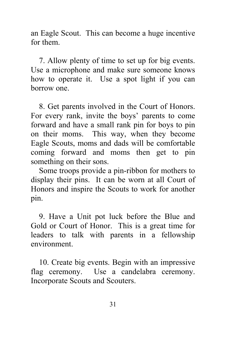an Eagle Scout. This can become a huge incentive for them.

7. Allow plenty of time to set up for big events. Use a microphone and make sure someone knows how to operate it. Use a spot light if you can borrow one.

8. Get parents involved in the Court of Honors. For every rank, invite the boys' parents to come forward and have a small rank pin for boys to pin on their moms. This way, when they become Eagle Scouts, moms and dads will be comfortable coming forward and moms then get to pin something on their sons.

Some troops provide a pin-ribbon for mothers to display their pins. It can be worn at all Court of Honors and inspire the Scouts to work for another pin.

9. Have a Unit pot luck before the Blue and Gold or Court of Honor. This is a great time for leaders to talk with parents in a fellowship environment.

10. Create big events. Begin with an impressive flag ceremony. Use a candelabra ceremony. Incorporate Scouts and Scouters.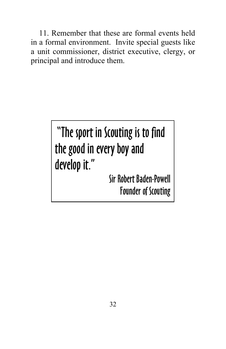11. Remember that these are formal events held in a formal environment. Invite special guests like a unit commissioner, district executive, clergy, or principal and introduce them.

### "The sport in Scouting is to find the good in every boy and develop it."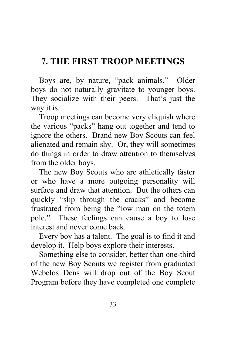### **7. THE FIRST TROOP MEETINGS**

Boys are, by nature, "pack animals." Older boys do not naturally gravitate to younger boys. They socialize with their peers. That's just the way it is.

Troop meetings can become very cliquish where the various "packs" hang out together and tend to ignore the others. Brand new Boy Scouts can feel alienated and remain shy. Or, they will sometimes do things in order to draw attention to themselves from the older boys.

The new Boy Scouts who are athletically faster or who have a more outgoing personality will surface and draw that attention. But the others can quickly "slip through the cracks" and become frustrated from being the "low man on the totem pole." These feelings can cause a boy to lose interest and never come back.

Every boy has a talent. The goal is to find it and develop it. Help boys explore their interests.

Something else to consider, better than one-third of the new Boy Scouts we register from graduated Webelos Dens will drop out of the Boy Scout Program before they have completed one complete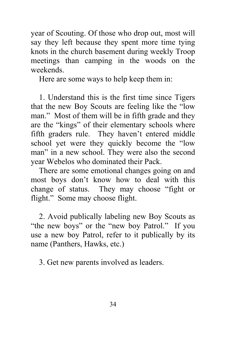year of Scouting. Of those who drop out, most will say they left because they spent more time tying knots in the church basement during weekly Troop meetings than camping in the woods on the weekends.

Here are some ways to help keep them in:

1. Understand this is the first time since Tigers that the new Boy Scouts are feeling like the "low man." Most of them will be in fifth grade and they are the "kings" of their elementary schools where fifth graders rule. They haven't entered middle school yet were they quickly become the "low man" in a new school. They were also the second year Webelos who dominated their Pack.

There are some emotional changes going on and most boys don't know how to deal with this change of status. They may choose "fight or flight." Some may choose flight.

2. Avoid publically labeling new Boy Scouts as "the new boys" or the "new boy Patrol." If you use a new boy Patrol, refer to it publically by its name (Panthers, Hawks, etc.)

3. Get new parents involved as leaders.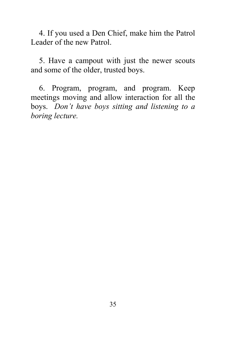4. If you used a Den Chief, make him the Patrol Leader of the new Patrol.

5. Have a campout with just the newer scouts and some of the older, trusted boys.

6. Program, program, and program. Keep meetings moving and allow interaction for all the boys. *Don't have boys sitting and listening to a boring lecture.*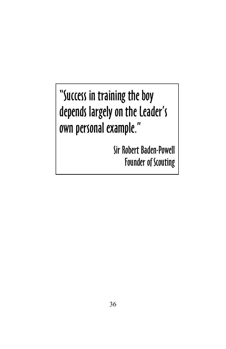"Success in training the boy depends largely on the Leader's own personal example."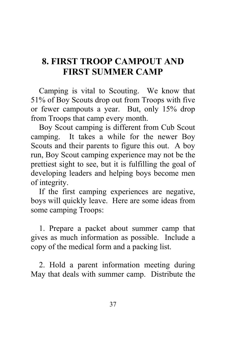### **8. FIRST TROOP CAMPOUT AND FIRST SUMMER CAMP**

Camping is vital to Scouting. We know that 51% of Boy Scouts drop out from Troops with five or fewer campouts a year. But, only 15% drop from Troops that camp every month.

Boy Scout camping is different from Cub Scout camping. It takes a while for the newer Boy Scouts and their parents to figure this out. A boy run, Boy Scout camping experience may not be the prettiest sight to see, but it is fulfilling the goal of developing leaders and helping boys become men of integrity.

If the first camping experiences are negative, boys will quickly leave. Here are some ideas from some camping Troops:

1. Prepare a packet about summer camp that gives as much information as possible. Include a copy of the medical form and a packing list.

2. Hold a parent information meeting during May that deals with summer camp. Distribute the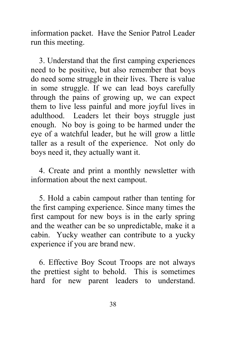information packet. Have the Senior Patrol Leader run this meeting.

3. Understand that the first camping experiences need to be positive, but also remember that boys do need some struggle in their lives. There is value in some struggle. If we can lead boys carefully through the pains of growing up, we can expect them to live less painful and more joyful lives in adulthood. Leaders let their boys struggle just enough. No boy is going to be harmed under the eye of a watchful leader, but he will grow a little taller as a result of the experience. Not only do boys need it, they actually want it.

4. Create and print a monthly newsletter with information about the next campout.

5. Hold a cabin campout rather than tenting for the first camping experience. Since many times the first campout for new boys is in the early spring and the weather can be so unpredictable, make it a cabin. Yucky weather can contribute to a yucky experience if you are brand new.

6. Effective Boy Scout Troops are not always the prettiest sight to behold. This is sometimes hard for new parent leaders to understand.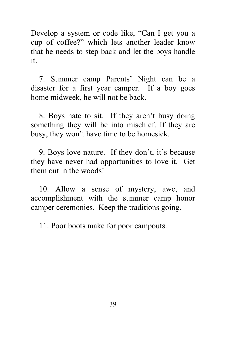Develop a system or code like, "Can I get you a cup of coffee?" which lets another leader know that he needs to step back and let the boys handle it.

7. Summer camp Parents' Night can be a disaster for a first year camper. If a boy goes home midweek, he will not be back.

8. Boys hate to sit. If they aren't busy doing something they will be into mischief. If they are busy, they won't have time to be homesick.

9. Boys love nature. If they don't, it's because they have never had opportunities to love it. Get them out in the woods!

10. Allow a sense of mystery, awe, and accomplishment with the summer camp honor camper ceremonies. Keep the traditions going.

11. Poor boots make for poor campouts.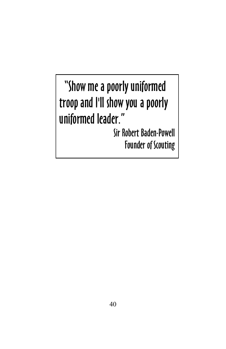## "Show me a poorly uniformed troop and I'll show you a poorly uniformed leader."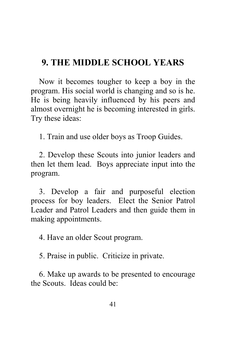### **9. THE MIDDLE SCHOOL YEARS**

Now it becomes tougher to keep a boy in the program. His social world is changing and so is he. He is being heavily influenced by his peers and almost overnight he is becoming interested in girls. Try these ideas:

1. Train and use older boys as Troop Guides.

2. Develop these Scouts into junior leaders and then let them lead. Boys appreciate input into the program.

3. Develop a fair and purposeful election process for boy leaders. Elect the Senior Patrol Leader and Patrol Leaders and then guide them in making appointments.

4. Have an older Scout program.

5. Praise in public. Criticize in private.

6. Make up awards to be presented to encourage the Scouts. Ideas could be: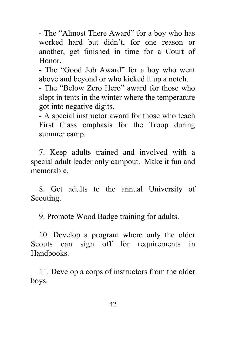- The "Almost There Award" for a boy who has worked hard but didn't, for one reason or another, get finished in time for a Court of Honor.

- The "Good Job Award" for a boy who went above and beyond or who kicked it up a notch.

- The "Below Zero Hero" award for those who slept in tents in the winter where the temperature got into negative digits.

- A special instructor award for those who teach First Class emphasis for the Troop during summer camp.

7. Keep adults trained and involved with a special adult leader only campout. Make it fun and memorable.

8. Get adults to the annual University of Scouting.

9. Promote Wood Badge training for adults.

10. Develop a program where only the older Scouts can sign off for requirements in Handbooks.

11. Develop a corps of instructors from the older boys.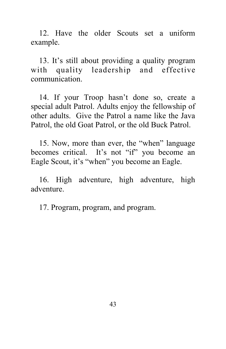12. Have the older Scouts set a uniform example.

13. It's still about providing a quality program with quality leadership and effective communication.

14. If your Troop hasn't done so, create a special adult Patrol. Adults enjoy the fellowship of other adults. Give the Patrol a name like the Java Patrol, the old Goat Patrol, or the old Buck Patrol.

15. Now, more than ever, the "when" language becomes critical. It's not "if" you become an Eagle Scout, it's "when" you become an Eagle.

16. High adventure, high adventure, high adventure.

17. Program, program, and program.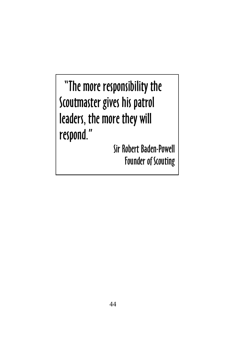"The more responsibility the Scoutmaster gives his patrol leaders, the more they will respond."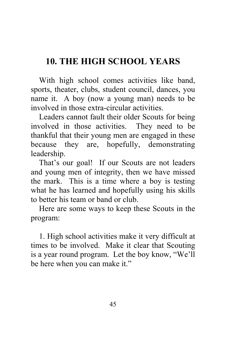### **10. THE HIGH SCHOOL YEARS**

With high school comes activities like band, sports, theater, clubs, student council, dances, you name it. A boy (now a young man) needs to be involved in those extra-circular activities.

Leaders cannot fault their older Scouts for being involved in those activities. They need to be thankful that their young men are engaged in these because they are, hopefully, demonstrating leadership.

That's our goal! If our Scouts are not leaders and young men of integrity, then we have missed the mark. This is a time where a boy is testing what he has learned and hopefully using his skills to better his team or band or club.

Here are some ways to keep these Scouts in the program:

1. High school activities make it very difficult at times to be involved. Make it clear that Scouting is a year round program. Let the boy know, "We'll be here when you can make it."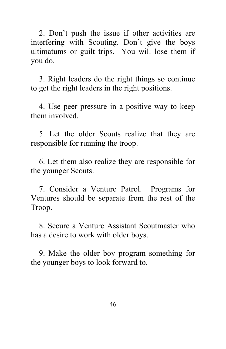2. Don't push the issue if other activities are interfering with Scouting. Don't give the boys ultimatums or guilt trips. You will lose them if you do.

3. Right leaders do the right things so continue to get the right leaders in the right positions.

4. Use peer pressure in a positive way to keep them involved.

5. Let the older Scouts realize that they are responsible for running the troop.

6. Let them also realize they are responsible for the younger Scouts.

7. Consider a Venture Patrol. Programs for Ventures should be separate from the rest of the Troop.

8. Secure a Venture Assistant Scoutmaster who has a desire to work with older boys.

9. Make the older boy program something for the younger boys to look forward to.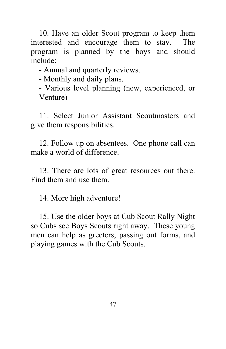10. Have an older Scout program to keep them interested and encourage them to stay. The program is planned by the boys and should include:

- Annual and quarterly reviews.

- Monthly and daily plans.

- Various level planning (new, experienced, or Venture)

11. Select Junior Assistant Scoutmasters and give them responsibilities.

12. Follow up on absentees. One phone call can make a world of difference.

13. There are lots of great resources out there. Find them and use them.

14. More high adventure!

15. Use the older boys at Cub Scout Rally Night so Cubs see Boys Scouts right away. These young men can help as greeters, passing out forms, and playing games with the Cub Scouts.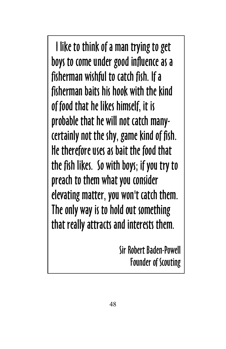I like to think of a man trying to get boys to come under good influence as a fisherman wishful to catch fish. If a fisherman baits his hook with the kind of food that he likes himself, it is probable that he will not catch manycertainly not the shy, game kind of fish. He therefore uses as bait the food that the fish likes. So with boys; if you try to preach to them what you consider elevating matter, you won't catch them. The only way is to hold out something that really attracts and interests them.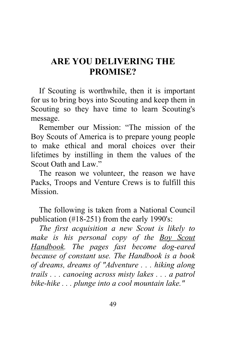### **ARE YOU DELIVERING THE PROMISE?**

If Scouting is worthwhile, then it is important for us to bring boys into Scouting and keep them in Scouting so they have time to learn Scouting's message.

Remember our Mission: "The mission of the Boy Scouts of America is to prepare young people to make ethical and moral choices over their lifetimes by instilling in them the values of the Scout Oath and Law."

The reason we volunteer, the reason we have Packs, Troops and Venture Crews is to fulfill this **Mission** 

The following is taken from a National Council publication (#18-251) from the early 1990's:

*The first acquisition a new Scout is likely to make is his personal copy of the Boy Scout Handbook. The pages fast become dog-eared because of constant use. The Handbook is a book of dreams, dreams of "Adventure . . . hiking along trails . . . canoeing across misty lakes . . . a patrol bike-hike . . . plunge into a cool mountain lake."*